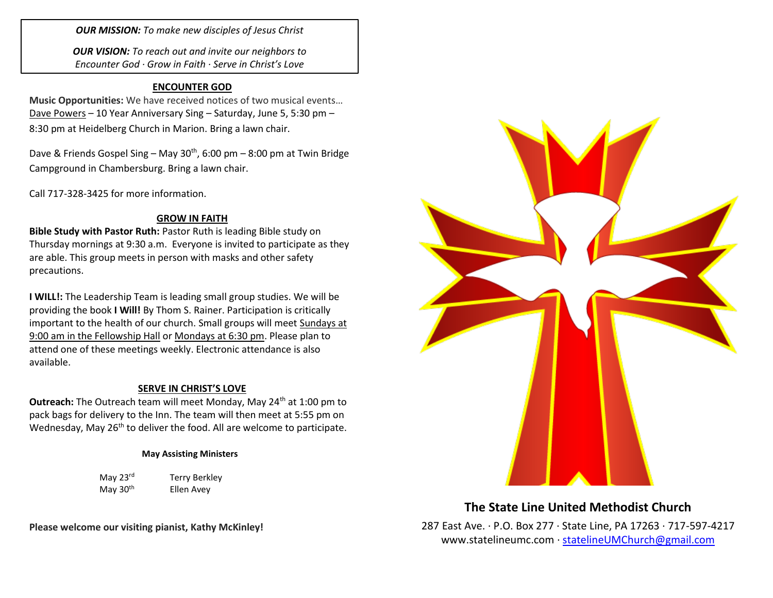*OUR MISSION: To make new disciples of Jesus Christ*

*OUR VISION: To reach out and invite our neighbors to Encounter God · Grow in Faith · Serve in Christ's Love*

### **ENCOUNTER GOD**

**Music Opportunities:** We have received notices of two musical events… Dave Powers – 10 Year Anniversary Sing – Saturday, June 5, 5:30 pm – 8:30 pm at Heidelberg Church in Marion. Bring a lawn chair.

Dave & Friends Gospel Sing – May  $30<sup>th</sup>$ , 6:00 pm – 8:00 pm at Twin Bridge Campground in Chambersburg. Bring a lawn chair.

Call 717-328-3425 for more information.

### **GROW IN FAITH**

**Bible Study with Pastor Ruth:** Pastor Ruth is leading Bible study on Thursday mornings at 9:30 a.m. Everyone is invited to participate as they are able. This group meets in person with masks and other safety precautions.

**I WILL!:** The Leadership Team is leading small group studies. We will be providing the book **I Will!** By Thom S. Rainer. Participation is critically important to the health of our church. Small groups will meet Sundays at 9:00 am in the Fellowship Hall or Mondays at 6:30 pm. Please plan to attend one of these meetings weekly. Electronic attendance is also available.

### **SERVE IN CHRIST'S LOVE**

**Outreach:** The Outreach team will meet Monday, May 24<sup>th</sup> at 1:00 pm to pack bags for delivery to the Inn. The team will then meet at 5:55 pm on Wednesday, May 26<sup>th</sup> to deliver the food. All are welcome to participate.

### **May Assisting Ministers**

May 23<sup>rd</sup> Terry Berkley May  $30<sup>th</sup>$  Ellen Avey

**Please welcome our visiting pianist, Kathy McKinley!**



# **The State Line United Methodist Church**

287 East Ave. · P.O. Box 277 · State Line, PA 17263 · 717-597-4217 [www.statelineumc.com](http://www.statelineumc.com/) · [statelineUMChurch@gmail.com](mailto:statelineUMChurch@gmail.com)